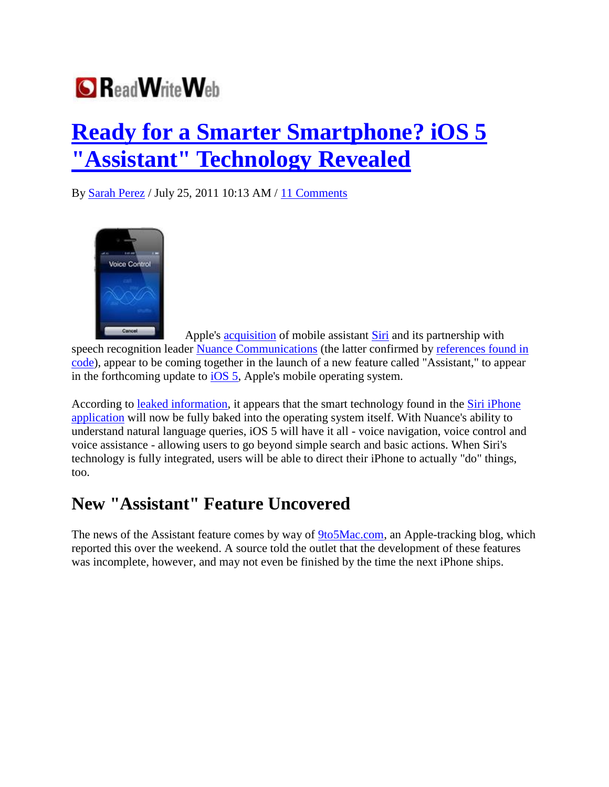

## **Ready for a Smarter Smartphone? iOS 5 "Assistant" Technology Revealed**

By Sarah Perez / July 25, 2011 10:13 AM / 11 Comments



Apple's acquisition of mobile assistant Siri and its partnership with speech recognition leader Nuance Communications (the latter confirmed by references found in code), appear to be coming together in the launch of a new feature called "Assistant," to appear in the forthcoming update to iOS 5, Apple's mobile operating system.

According to leaked information, it appears that the smart technology found in the Siri iPhone application will now be fully baked into the operating system itself. With Nuance's ability to understand natural language queries, iOS 5 will have it all - voice navigation, voice control and voice assistance - allowing users to go beyond simple search and basic actions. When Siri's technology is fully integrated, users will be able to direct their iPhone to actually "do" things, too.

## **New "Assistant" Feature Uncovered**

The news of the Assistant feature comes by way of 9to5Mac.com, an Apple-tracking blog, which reported this over the weekend. A source told the outlet that the development of these features was incomplete, however, and may not even be finished by the time the next iPhone ships.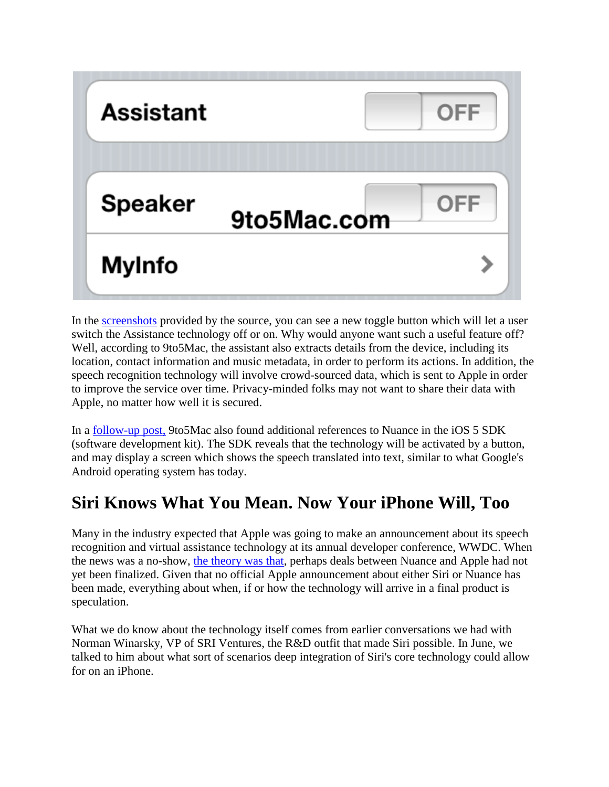

In the screenshots provided by the source, you can see a new toggle button which will let a user switch the Assistance technology off or on. Why would anyone want such a useful feature off? Well, according to 9to5Mac, the assistant also extracts details from the device, including its location, contact information and music metadata, in order to perform its actions. In addition, the speech recognition technology will involve crowd-sourced data, which is sent to Apple in order to improve the service over time. Privacy-minded folks may not want to share their data with Apple, no matter how well it is secured.

In a follow-up post, 9to5Mac also found additional references to Nuance in the iOS 5 SDK (software development kit). The SDK reveals that the technology will be activated by a button, and may display a screen which shows the speech translated into text, similar to what Google's Android operating system has today.

## **Siri Knows What You Mean. Now Your iPhone Will, Too**

Many in the industry expected that Apple was going to make an announcement about its speech recognition and virtual assistance technology at its annual developer conference, WWDC. When the news was a no-show, the theory was that, perhaps deals between Nuance and Apple had not yet been finalized. Given that no official Apple announcement about either Siri or Nuance has been made, everything about when, if or how the technology will arrive in a final product is speculation.

What we do know about the technology itself comes from earlier conversations we had with Norman Winarsky, VP of SRI Ventures, the R&D outfit that made Siri possible. In June, we talked to him about what sort of scenarios deep integration of Siri's core technology could allow for on an iPhone.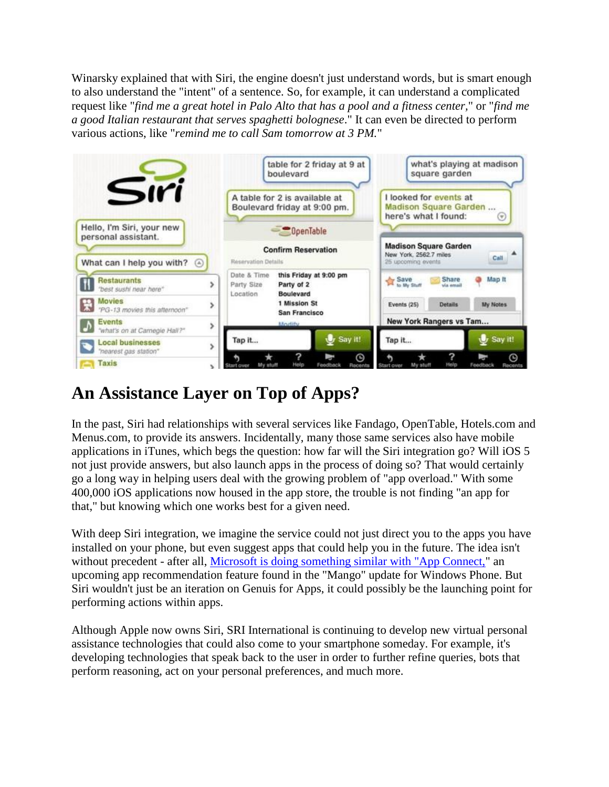Winarsky explained that with Siri, the engine doesn't just understand words, but is smart enough to also understand the "intent" of a sentence. So, for example, it can understand a complicated request like "*find me a great hotel in Palo Alto that has a pool and a fitness center,*" or "*find me a good Italian restaurant that serves spaghetti bolognese*." It can even be directed to perform various actions, like "*remind me to call Sam tomorrow at 3 PM.*"



## **An Assistance Layer on Top of Apps?**

In the past, Siri had relationships with several services like Fandago, OpenTable, Hotels.com and Menus.com, to provide its answers. Incidentally, many those same services also have mobile applications in iTunes, which begs the question: how far will the Siri integration go? Will iOS 5 not just provide answers, but also launch apps in the process of doing so? That would certainly go a long way in helping users deal with the growing problem of "app overload." With some 400,000 iOS applications now housed in the app store, the trouble is not finding "an app for that," but knowing which one works best for a given need.

With deep Siri integration, we imagine the service could not just direct you to the apps you have installed on your phone, but even suggest apps that could help you in the future. The idea isn't without precedent - after all, Microsoft is doing something similar with "App Connect," an upcoming app recommendation feature found in the "Mango" update for Windows Phone. But Siri wouldn't just be an iteration on Genuis for Apps, it could possibly be the launching point for performing actions within apps.

Although Apple now owns Siri, SRI International is continuing to develop new virtual personal assistance technologies that could also come to your smartphone someday. For example, it's developing technologies that speak back to the user in order to further refine queries, bots that perform reasoning, act on your personal preferences, and much more.